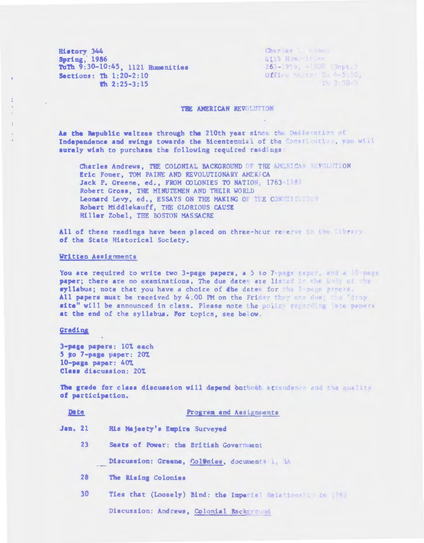**History 344 Spring, 1986** TuTh 9:30-10:45, 1121 Humanities Sections: Th 1:20-2:10  $\frac{1}{2}$  2:25-3:15

Charles L Chona 4115 Ham: 1t. er  $263 - 1955$ ,  $-1300$  (Dept.) Office he ts: Tu 4-5:10,  $T = 3.30 - x$ 

#### THE AMERICAN REVOLUTION

As the Republic waltzes through the 210th year since the Dediavation of Independence and swings towards the Bicentennial of the Constitution, you will suraly wish to purchase the following required readings:

Charles Andrews. THE COLONIAL BACKGROUND OF THE AMERICAN MEVOLUTION Eric Foner, TOM PAINE AND REVOLUTIONARY AMERICA Jack P. Greene, ed., FROM COLONIES TO NATION, 1763-1785 Robert Gross, THE MINUTEMEN AND THEIR WORLD Leonard Levy, ed., ESSAYS ON THE MAKING OF THE CONSTITUTION Robert Middlekauff, THE GLORIOUS CAUSE Hiller Zobel, THE BOSTON MASSACRE

All of these readings have been placed on three-hour reserve in the library of the State Historical Society.

# Written Assignments

You are required to write two 3-page papers, a 5 to 7-page paper, and a 10 page paper; there are no examinations. The due dates are listed in the body of the syllabus; note that you have a choice of the dates for the 3-page papers. All papers must be received by 4.00 PM on the Friday they are due; the "drop site" will be announced in class. Please note the policy regarding late papers at the end of the syllabus. For topics, see below.

#### Grading

3-page papers: 107 each 5 to 7-page paper: 207 10-page paper: 40% Class discussion: 20%

The grade for class discussion will depend buthout attendance and the nuslity of participation.

| <b>Dete</b>    |                | Program and Assignments                                     |  |
|----------------|----------------|-------------------------------------------------------------|--|
| <b>Jan. 21</b> |                | Ris Majesty's Empire Surveyed                               |  |
|                | 23             | Seats of Power: the British Government                      |  |
|                | an alternative | Discussion: Greene, Col9nies, documents i, 14               |  |
|                | 28             | The Rising Colonies                                         |  |
|                | 30             | Ties that (Loosely) Bind: the Imperial Ralationship to 1761 |  |
|                |                | Discussion: Andrews, Colonial Background                    |  |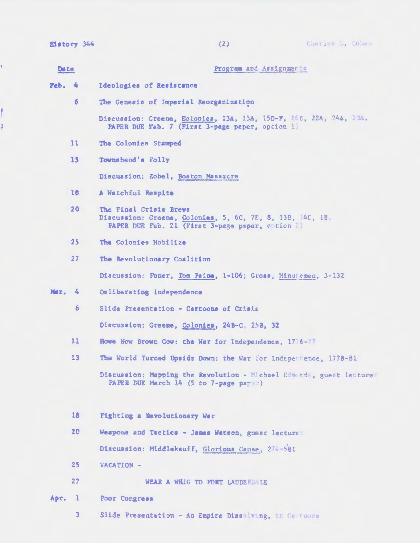| History | Zha<br><b>CONTRACTOR</b> |  |
|---------|--------------------------|--|
|         |                          |  |

y,

计量

ł

 $\bar{\beta}$ 

| Date   |                 | Program and Assignments                                                                                                               |
|--------|-----------------|---------------------------------------------------------------------------------------------------------------------------------------|
| Feb. 4 |                 | Ideologies of Resistance                                                                                                              |
|        | 6               | The Genesis of Imperial Reorganization                                                                                                |
|        |                 | Discussion: Greene, Eolonies, 13A, 15A, 15D-F, 15B, 22A, 24A, 23A.<br>PAPER DUE Feb. 7 (First 3-page paper, option 1)                 |
|        | $\mathbf{11}$   | The Colonies Stamped                                                                                                                  |
|        | 13              | Townshend's Folly                                                                                                                     |
|        |                 | Discussion: Zobel, Boston Massacre                                                                                                    |
|        | 16 <sup>1</sup> | A Watchful Respite                                                                                                                    |
|        | 20              | The Final Crisis Brews<br>Discussion: Greene, Colonies, 5, 6C, 7E, 8, 13B, 40, 18<br>PAPER DUE Feb. 21 (First 3-page paper, option 2) |
|        | 25 <sub>2</sub> | The Colonies Mobilize                                                                                                                 |
|        | 27              | The Revolutionary Coalition                                                                                                           |
|        |                 | Discussion: Foner, Tom Paina, 1-106; Gross, Minutemen, 3-132                                                                          |
| Mar. 4 |                 | Deliberating Independence                                                                                                             |
|        | 6 <sup>1</sup>  | Slide Presentation - Cartoons of Crisis                                                                                               |
|        |                 | Discussion: Greene, Colonies, 24B-C, 25B, 32                                                                                          |
|        | 11              | Howe Now Brown Cow: the War for Independence, 1776-77                                                                                 |
|        | 13              | The World Turned Upside Down; the War for Independence, 1778-81                                                                       |
|        |                 | Discussion: Mapping the Revolution - Michael Edwards, guest lectures<br>PAPER DUE March 14 (5 to 7-page paper)                        |
|        | 18              | Fighting a Revolutionary War                                                                                                          |
|        | 20              | Weapons and Tactics - James Watson, guest lecture                                                                                     |
|        |                 | Discussion: Middlekauff, Glorious Cause, 274-581                                                                                      |
|        | 25              | VACATION -                                                                                                                            |
|        | 27              | WEAR A WHIG TO FORT LAUDERDALE                                                                                                        |
| Apr.   | $\mathbf{1}$    | Poor Congress                                                                                                                         |
|        | 3               | Slide Presentation - An Empire Dissalving, in Cartoons                                                                                |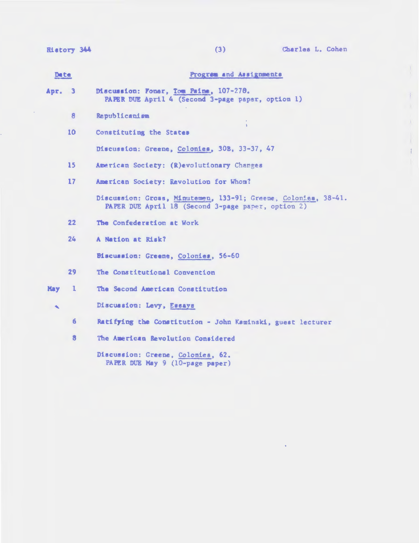**Ristory 344** 

 $\hat{\mathbf{v}}$ 

 $\bar{t}$ 

 $\mathcal{A}$ 

| <b>Dete</b>      |                         | Progress and Assignments                                                                                             |
|------------------|-------------------------|----------------------------------------------------------------------------------------------------------------------|
| Apr.             | $\overline{\mathbf{3}}$ | Discussion: Foner, Tom Paine, 107-278.<br>PAPER DUE April 4 (Second 3-page paper, option 1)                          |
|                  | 8                       | Republicanism                                                                                                        |
|                  | 10                      | Constituting the States                                                                                              |
|                  |                         | Discussion: Greene, Colonies, 308, 33-37, 47                                                                         |
|                  | 15                      | American Society: (R)evolutionary Changes                                                                            |
|                  | 17                      | American Society: Revolution for Whom?                                                                               |
|                  |                         | Discussion: Gross, Minutemen, 133-91; Greene, Colonies, 38-41.<br>PAPER DUE April 18 (Second 3-page paper, option 2) |
|                  | 22                      | The Confederation at Work                                                                                            |
|                  | 24                      | A Nation at Risk?                                                                                                    |
|                  |                         | Biscussion: Greene, Colonies, 56-60                                                                                  |
|                  | 29                      | The Constitutional Convention                                                                                        |
| <b>May</b>       | $\mathbf{1}$            | The Second American Constitution                                                                                     |
| $\blacktriangle$ |                         | Discussion: Levy, Essays                                                                                             |
|                  | 6                       | Ratifying the Constitution - John Kaminski, guest lecturer                                                           |
|                  | 8                       | The American Revolution Considered                                                                                   |
|                  |                         | Discussion: Greene, Colonies, 62.<br>PAPER DUE May 9 (10-page paper)                                                 |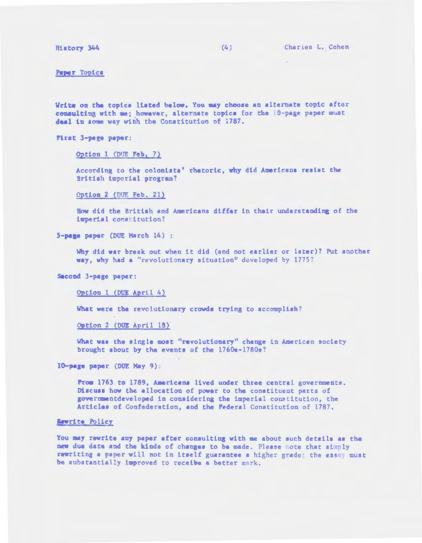Ristory 344 (4) Charles L. Cohen

Paper Topics

Write on the topics listed below. You may choose an alternate topic after consulting with me; however, alternate topics for the 16-page paper must deal in some way with the Constitution of 1787.

First 3-page paper:

Option 1 (DUE Feb. 7)

According to the colonists' rhetoric, why did Americans resist the British imperial program?

Option 2 (DUE Feb. 21)

How did the British and Americans differ in their understanding of the ieperial constitution?

5-page paper (DUE March 14) :

Why did war break out when it did (and not earlier or later)? Put another way, why had a "revolutionary situation" developed by 1775?

Second 3-page paper:

Option 1 (DUE April 4)

What were the revolutionary crowds trying to accomplish?

Option 2 (DUE April 18)

What was the single most "revolutionary" change in American society brought about by the events of the 1760s-1780s7

lO.page paper (DUE May 9):

From 1763 to 1789, Americans lived under three central governments. Discuss how the allocation of power to the constituent parts of governmentdeveloped in considering the imperial constitution, the Articles of Confederation, and the Federal Constitution of 1787.

#### Rewrite Policy

You may rewrite any paper after consulting with me about such details as the new due date and the kinds of changes to be made. Please note that simply rewriting a paper will not in itself guarantee a higher grade; the essay must be substantially improved to receive a better mark.